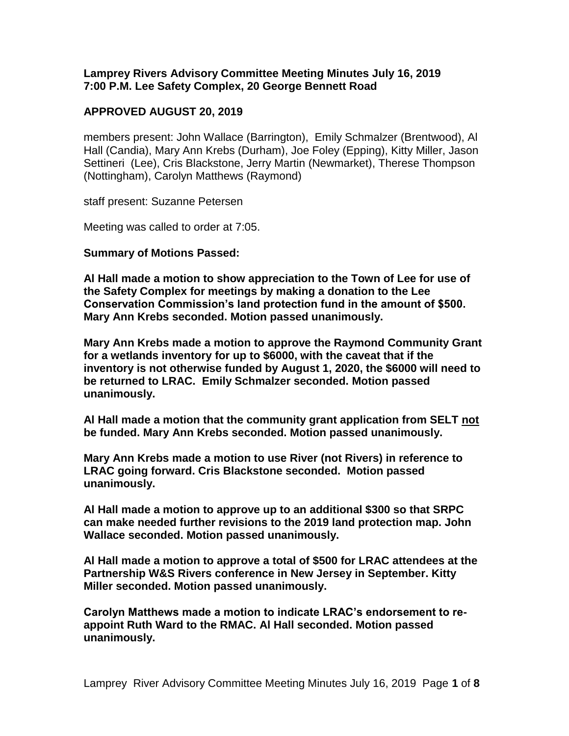**Lamprey Rivers Advisory Committee Meeting Minutes July 16, 2019 7:00 P.M. Lee Safety Complex, 20 George Bennett Road**

### **APPROVED AUGUST 20, 2019**

members present: John Wallace (Barrington), Emily Schmalzer (Brentwood), Al Hall (Candia), Mary Ann Krebs (Durham), Joe Foley (Epping), Kitty Miller, Jason Settineri (Lee), Cris Blackstone, Jerry Martin (Newmarket), Therese Thompson (Nottingham), Carolyn Matthews (Raymond)

staff present: Suzanne Petersen

Meeting was called to order at 7:05.

#### **Summary of Motions Passed:**

**Al Hall made a motion to show appreciation to the Town of Lee for use of the Safety Complex for meetings by making a donation to the Lee Conservation Commission's land protection fund in the amount of \$500. Mary Ann Krebs seconded. Motion passed unanimously.**

**Mary Ann Krebs made a motion to approve the Raymond Community Grant for a wetlands inventory for up to \$6000, with the caveat that if the inventory is not otherwise funded by August 1, 2020, the \$6000 will need to be returned to LRAC. Emily Schmalzer seconded. Motion passed unanimously.** 

**Al Hall made a motion that the community grant application from SELT not be funded. Mary Ann Krebs seconded. Motion passed unanimously.**

**Mary Ann Krebs made a motion to use River (not Rivers) in reference to LRAC going forward. Cris Blackstone seconded. Motion passed unanimously.**

**Al Hall made a motion to approve up to an additional \$300 so that SRPC can make needed further revisions to the 2019 land protection map. John Wallace seconded. Motion passed unanimously.** 

**Al Hall made a motion to approve a total of \$500 for LRAC attendees at the Partnership W&S Rivers conference in New Jersey in September. Kitty Miller seconded. Motion passed unanimously.**

**Carolyn Matthews made a motion to indicate LRAC's endorsement to reappoint Ruth Ward to the RMAC. Al Hall seconded. Motion passed unanimously.**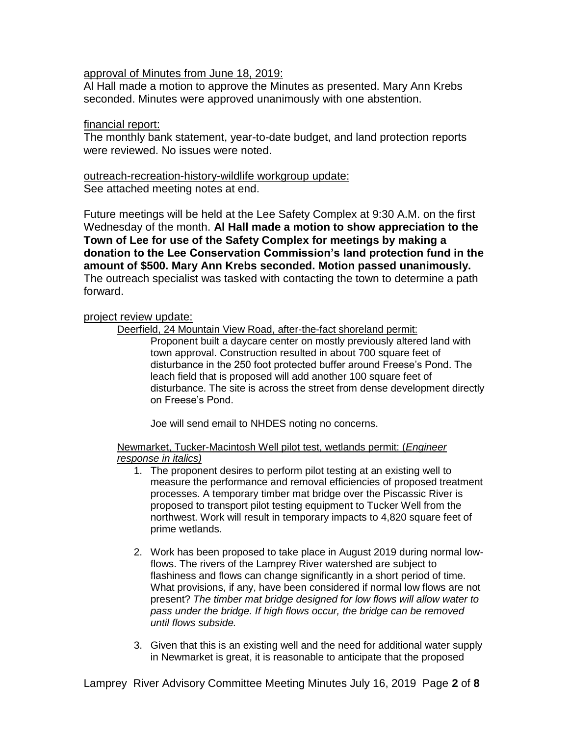#### approval of Minutes from June 18, 2019:

Al Hall made a motion to approve the Minutes as presented. Mary Ann Krebs seconded. Minutes were approved unanimously with one abstention.

#### financial report:

The monthly bank statement, year-to-date budget, and land protection reports were reviewed. No issues were noted.

outreach-recreation-history-wildlife workgroup update: See attached meeting notes at end.

Future meetings will be held at the Lee Safety Complex at 9:30 A.M. on the first Wednesday of the month. **Al Hall made a motion to show appreciation to the Town of Lee for use of the Safety Complex for meetings by making a donation to the Lee Conservation Commission's land protection fund in the amount of \$500. Mary Ann Krebs seconded. Motion passed unanimously.**  The outreach specialist was tasked with contacting the town to determine a path forward.

#### project review update:

Deerfield, 24 Mountain View Road, after-the-fact shoreland permit:

Proponent built a daycare center on mostly previously altered land with town approval. Construction resulted in about 700 square feet of disturbance in the 250 foot protected buffer around Freese's Pond. The leach field that is proposed will add another 100 square feet of disturbance. The site is across the street from dense development directly on Freese's Pond.

Joe will send email to NHDES noting no concerns.

Newmarket, Tucker-Macintosh Well pilot test, wetlands permit: (*Engineer response in italics)*

- 1. The proponent desires to perform pilot testing at an existing well to measure the performance and removal efficiencies of proposed treatment processes. A temporary timber mat bridge over the Piscassic River is proposed to transport pilot testing equipment to Tucker Well from the northwest. Work will result in temporary impacts to 4,820 square feet of prime wetlands.
- 2. Work has been proposed to take place in August 2019 during normal lowflows. The rivers of the Lamprey River watershed are subject to flashiness and flows can change significantly in a short period of time. What provisions, if any, have been considered if normal low flows are not present? *The timber mat bridge designed for low flows will allow water to pass under the bridge. If high flows occur, the bridge can be removed until flows subside.*
- 3. Given that this is an existing well and the need for additional water supply in Newmarket is great, it is reasonable to anticipate that the proposed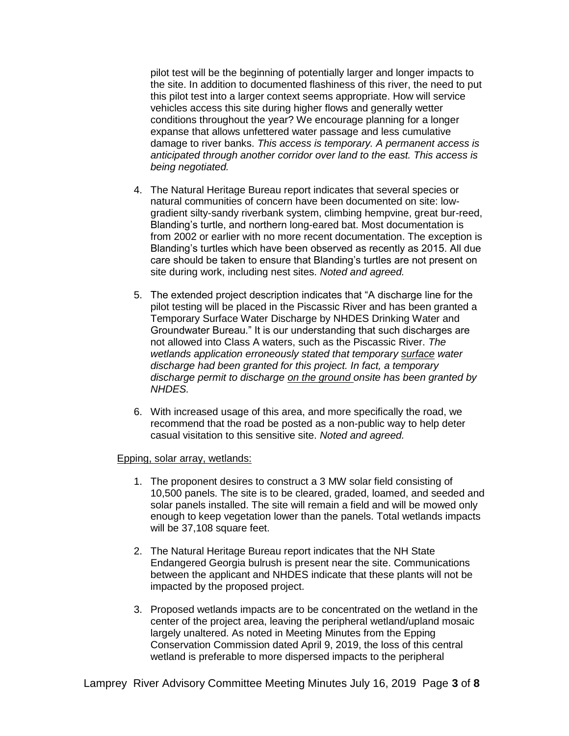pilot test will be the beginning of potentially larger and longer impacts to the site. In addition to documented flashiness of this river, the need to put this pilot test into a larger context seems appropriate. How will service vehicles access this site during higher flows and generally wetter conditions throughout the year? We encourage planning for a longer expanse that allows unfettered water passage and less cumulative damage to river banks. *This access is temporary. A permanent access is anticipated through another corridor over land to the east. This access is being negotiated.*

- 4. The Natural Heritage Bureau report indicates that several species or natural communities of concern have been documented on site: lowgradient silty-sandy riverbank system, climbing hempvine, great bur-reed, Blanding's turtle, and northern long-eared bat. Most documentation is from 2002 or earlier with no more recent documentation. The exception is Blanding's turtles which have been observed as recently as 2015. All due care should be taken to ensure that Blanding's turtles are not present on site during work, including nest sites. *Noted and agreed.*
- 5. The extended project description indicates that "A discharge line for the pilot testing will be placed in the Piscassic River and has been granted a Temporary Surface Water Discharge by NHDES Drinking Water and Groundwater Bureau." It is our understanding that such discharges are not allowed into Class A waters, such as the Piscassic River. *The wetlands application erroneously stated that temporary surface water discharge had been granted for this project. In fact, a temporary discharge permit to discharge on the ground onsite has been granted by NHDES.*
- 6. With increased usage of this area, and more specifically the road, we recommend that the road be posted as a non-public way to help deter casual visitation to this sensitive site. *Noted and agreed.*

#### Epping, solar array, wetlands:

- 1. The proponent desires to construct a 3 MW solar field consisting of 10,500 panels. The site is to be cleared, graded, loamed, and seeded and solar panels installed. The site will remain a field and will be mowed only enough to keep vegetation lower than the panels. Total wetlands impacts will be 37,108 square feet.
- 2. The Natural Heritage Bureau report indicates that the NH State Endangered Georgia bulrush is present near the site. Communications between the applicant and NHDES indicate that these plants will not be impacted by the proposed project.
- 3. Proposed wetlands impacts are to be concentrated on the wetland in the center of the project area, leaving the peripheral wetland/upland mosaic largely unaltered. As noted in Meeting Minutes from the Epping Conservation Commission dated April 9, 2019, the loss of this central wetland is preferable to more dispersed impacts to the peripheral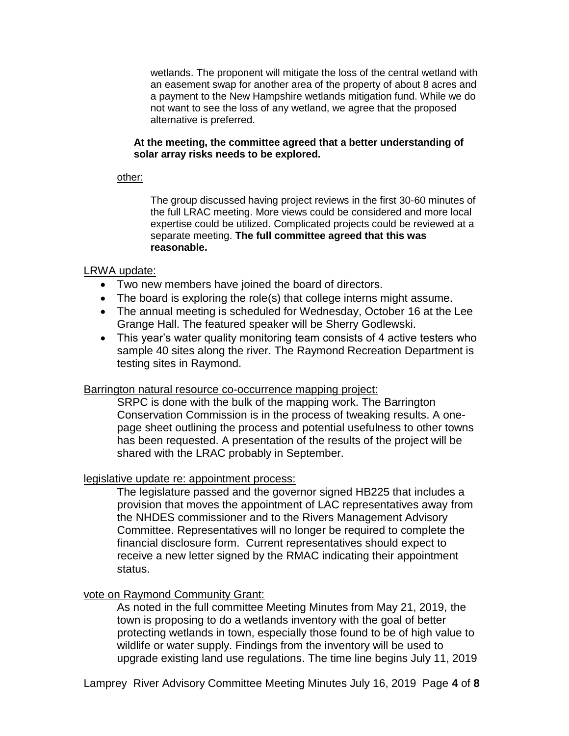wetlands. The proponent will mitigate the loss of the central wetland with an easement swap for another area of the property of about 8 acres and a payment to the New Hampshire wetlands mitigation fund. While we do not want to see the loss of any wetland, we agree that the proposed alternative is preferred.

#### **At the meeting, the committee agreed that a better understanding of solar array risks needs to be explored.**

#### other:

The group discussed having project reviews in the first 30-60 minutes of the full LRAC meeting. More views could be considered and more local expertise could be utilized. Complicated projects could be reviewed at a separate meeting. **The full committee agreed that this was reasonable.** 

### LRWA update:

- Two new members have joined the board of directors.
- The board is exploring the role(s) that college interns might assume.
- The annual meeting is scheduled for Wednesday, October 16 at the Lee Grange Hall. The featured speaker will be Sherry Godlewski.
- This year's water quality monitoring team consists of 4 active testers who sample 40 sites along the river. The Raymond Recreation Department is testing sites in Raymond.

#### Barrington natural resource co-occurrence mapping project:

SRPC is done with the bulk of the mapping work. The Barrington Conservation Commission is in the process of tweaking results. A onepage sheet outlining the process and potential usefulness to other towns has been requested. A presentation of the results of the project will be shared with the LRAC probably in September.

## legislative update re: appointment process:

The legislature passed and the governor signed HB225 that includes a provision that moves the appointment of LAC representatives away from the NHDES commissioner and to the Rivers Management Advisory Committee. Representatives will no longer be required to complete the financial disclosure form. Current representatives should expect to receive a new letter signed by the RMAC indicating their appointment status.

## vote on Raymond Community Grant:

As noted in the full committee Meeting Minutes from May 21, 2019, the town is proposing to do a wetlands inventory with the goal of better protecting wetlands in town, especially those found to be of high value to wildlife or water supply. Findings from the inventory will be used to upgrade existing land use regulations. The time line begins July 11, 2019

Lamprey River Advisory Committee Meeting Minutes July 16, 2019 Page **4** of **8**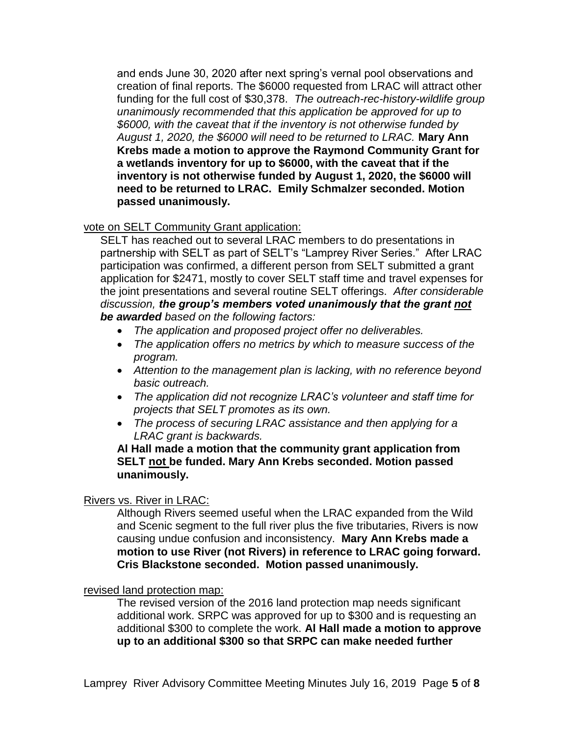and ends June 30, 2020 after next spring's vernal pool observations and creation of final reports. The \$6000 requested from LRAC will attract other funding for the full cost of \$30,378. *The outreach-rec-history-wildlife group unanimously recommended that this application be approved for up to \$6000, with the caveat that if the inventory is not otherwise funded by August 1, 2020, the \$6000 will need to be returned to LRAC.* **Mary Ann Krebs made a motion to approve the Raymond Community Grant for a wetlands inventory for up to \$6000, with the caveat that if the inventory is not otherwise funded by August 1, 2020, the \$6000 will need to be returned to LRAC. Emily Schmalzer seconded. Motion passed unanimously.** 

## vote on SELT Community Grant application:

SELT has reached out to several LRAC members to do presentations in partnership with SELT as part of SELT's "Lamprey River Series." After LRAC participation was confirmed, a different person from SELT submitted a grant application for \$2471, mostly to cover SELT staff time and travel expenses for the joint presentations and several routine SELT offerings. *After considerable discussion, the group's members voted unanimously that the grant not be awarded based on the following factors:*

- *The application and proposed project offer no deliverables.*
- *The application offers no metrics by which to measure success of the program.*
- *Attention to the management plan is lacking, with no reference beyond basic outreach.*
- *The application did not recognize LRAC's volunteer and staff time for projects that SELT promotes as its own.*
- *The process of securing LRAC assistance and then applying for a LRAC grant is backwards.*

## **Al Hall made a motion that the community grant application from SELT not be funded. Mary Ann Krebs seconded. Motion passed unanimously.**

## Rivers vs. River in LRAC:

Although Rivers seemed useful when the LRAC expanded from the Wild and Scenic segment to the full river plus the five tributaries, Rivers is now causing undue confusion and inconsistency. **Mary Ann Krebs made a motion to use River (not Rivers) in reference to LRAC going forward. Cris Blackstone seconded. Motion passed unanimously.** 

## revised land protection map:

The revised version of the 2016 land protection map needs significant additional work. SRPC was approved for up to \$300 and is requesting an additional \$300 to complete the work. **Al Hall made a motion to approve up to an additional \$300 so that SRPC can make needed further**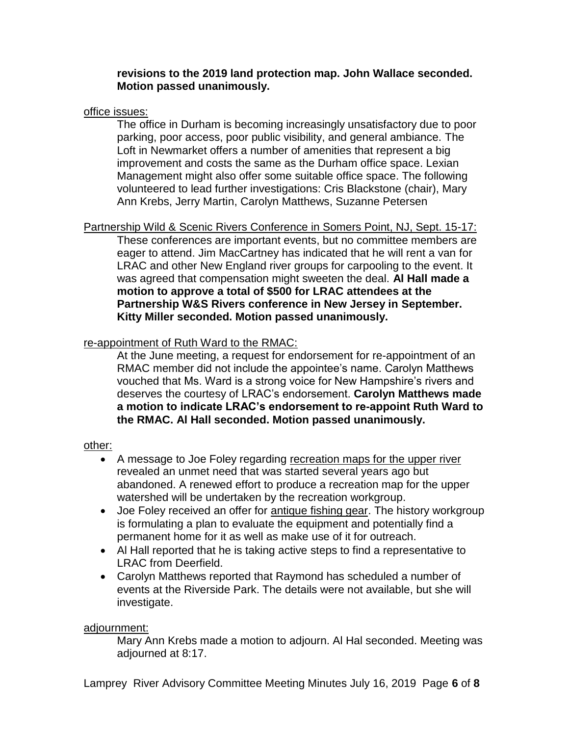## **revisions to the 2019 land protection map. John Wallace seconded. Motion passed unanimously.**

## office issues:

The office in Durham is becoming increasingly unsatisfactory due to poor parking, poor access, poor public visibility, and general ambiance. The Loft in Newmarket offers a number of amenities that represent a big improvement and costs the same as the Durham office space. Lexian Management might also offer some suitable office space. The following volunteered to lead further investigations: Cris Blackstone (chair), Mary Ann Krebs, Jerry Martin, Carolyn Matthews, Suzanne Petersen

Partnership Wild & Scenic Rivers Conference in Somers Point, NJ, Sept. 15-17: These conferences are important events, but no committee members are eager to attend. Jim MacCartney has indicated that he will rent a van for LRAC and other New England river groups for carpooling to the event. It was agreed that compensation might sweeten the deal. **Al Hall made a motion to approve a total of \$500 for LRAC attendees at the Partnership W&S Rivers conference in New Jersey in September. Kitty Miller seconded. Motion passed unanimously.** 

# re-appointment of Ruth Ward to the RMAC:

At the June meeting, a request for endorsement for re-appointment of an RMAC member did not include the appointee's name. Carolyn Matthews vouched that Ms. Ward is a strong voice for New Hampshire's rivers and deserves the courtesy of LRAC's endorsement. **Carolyn Matthews made a motion to indicate LRAC's endorsement to re-appoint Ruth Ward to the RMAC. Al Hall seconded. Motion passed unanimously.** 

## other:

- A message to Joe Foley regarding recreation maps for the upper river revealed an unmet need that was started several years ago but abandoned. A renewed effort to produce a recreation map for the upper watershed will be undertaken by the recreation workgroup.
- Joe Foley received an offer for antique fishing gear. The history workgroup is formulating a plan to evaluate the equipment and potentially find a permanent home for it as well as make use of it for outreach.
- Al Hall reported that he is taking active steps to find a representative to LRAC from Deerfield.
- Carolyn Matthews reported that Raymond has scheduled a number of events at the Riverside Park. The details were not available, but she will investigate.

## adjournment:

Mary Ann Krebs made a motion to adjourn. Al Hal seconded. Meeting was adjourned at 8:17.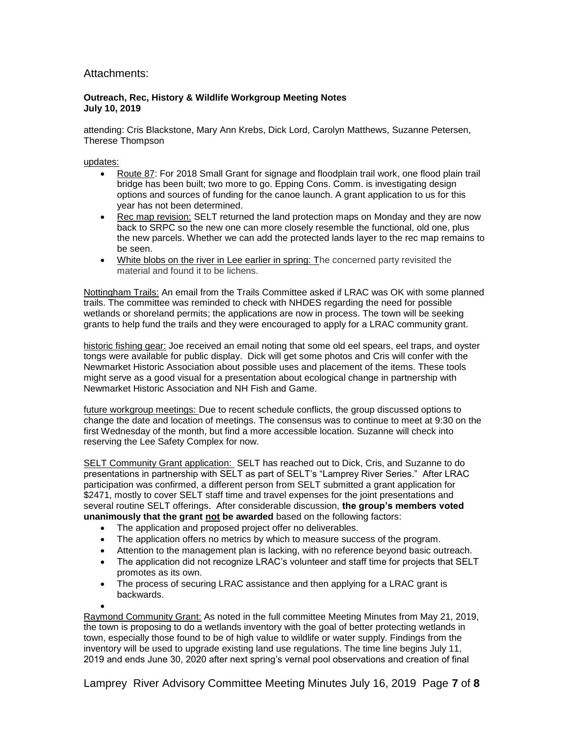#### Attachments:

#### **Outreach, Rec, History & Wildlife Workgroup Meeting Notes July 10, 2019**

attending: Cris Blackstone, Mary Ann Krebs, Dick Lord, Carolyn Matthews, Suzanne Petersen, Therese Thompson

updates:

- Route 87: For 2018 Small Grant for signage and floodplain trail work, one flood plain trail bridge has been built; two more to go. Epping Cons. Comm. is investigating design options and sources of funding for the canoe launch. A grant application to us for this year has not been determined.
- Rec map revision: SELT returned the land protection maps on Monday and they are now back to SRPC so the new one can more closely resemble the functional, old one, plus the new parcels. Whether we can add the protected lands layer to the rec map remains to be seen.
- White blobs on the river in Lee earlier in spring: The concerned party revisited the material and found it to be lichens.

Nottingham Trails: An email from the Trails Committee asked if LRAC was OK with some planned trails. The committee was reminded to check with NHDES regarding the need for possible wetlands or shoreland permits; the applications are now in process. The town will be seeking grants to help fund the trails and they were encouraged to apply for a LRAC community grant.

historic fishing gear: Joe received an email noting that some old eel spears, eel traps, and oyster tongs were available for public display. Dick will get some photos and Cris will confer with the Newmarket Historic Association about possible uses and placement of the items. These tools might serve as a good visual for a presentation about ecological change in partnership with Newmarket Historic Association and NH Fish and Game.

future workgroup meetings: Due to recent schedule conflicts, the group discussed options to change the date and location of meetings. The consensus was to continue to meet at 9:30 on the first Wednesday of the month, but find a more accessible location. Suzanne will check into reserving the Lee Safety Complex for now.

SELT Community Grant application: SELT has reached out to Dick, Cris, and Suzanne to do presentations in partnership with SELT as part of SELT's "Lamprey River Series." After LRAC participation was confirmed, a different person from SELT submitted a grant application for \$2471, mostly to cover SELT staff time and travel expenses for the joint presentations and several routine SELT offerings. After considerable discussion, **the group's members voted unanimously that the grant not be awarded** based on the following factors:

- The application and proposed project offer no deliverables.
- The application offers no metrics by which to measure success of the program.
- Attention to the management plan is lacking, with no reference beyond basic outreach.
- The application did not recognize LRAC's volunteer and staff time for projects that SELT promotes as its own.
- The process of securing LRAC assistance and then applying for a LRAC grant is backwards.
- $\bullet$

Raymond Community Grant: As noted in the full committee Meeting Minutes from May 21, 2019, the town is proposing to do a wetlands inventory with the goal of better protecting wetlands in town, especially those found to be of high value to wildlife or water supply. Findings from the inventory will be used to upgrade existing land use regulations. The time line begins July 11, 2019 and ends June 30, 2020 after next spring's vernal pool observations and creation of final

Lamprey River Advisory Committee Meeting Minutes July 16, 2019 Page **7** of **8**